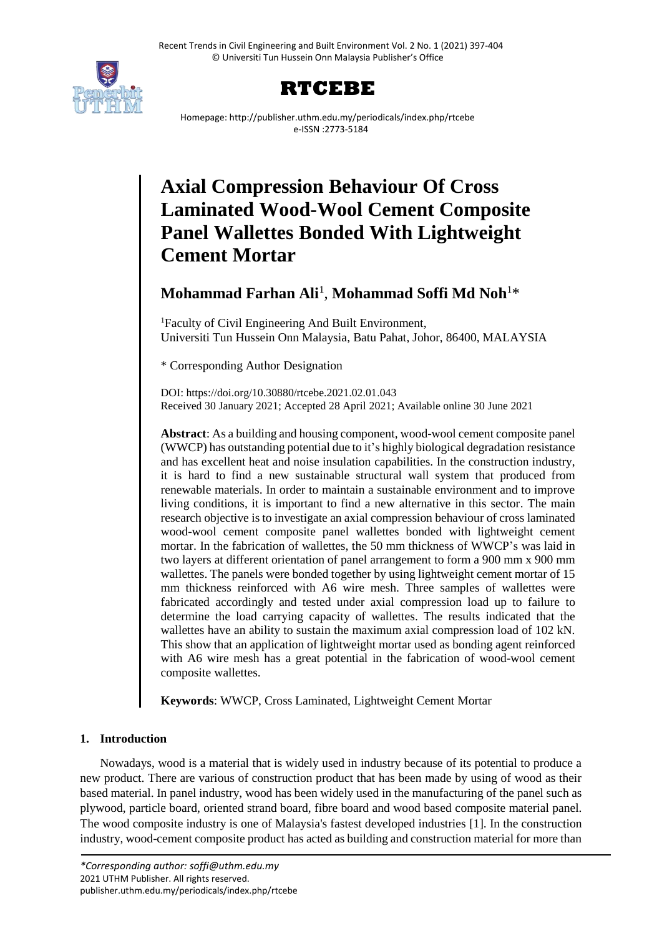



Homepage: http://publisher.uthm.edu.my/periodicals/index.php/rtcebe e-ISSN :2773-5184

# **Axial Compression Behaviour Of Cross Laminated Wood-Wool Cement Composite Panel Wallettes Bonded With Lightweight Cement Mortar**

# **Mohammad Farhan Ali**<sup>1</sup> , **Mohammad Soffi Md Noh**<sup>1</sup>\*

<sup>1</sup>Faculty of Civil Engineering And Built Environment, Universiti Tun Hussein Onn Malaysia, Batu Pahat, Johor, 86400, MALAYSIA

\* Corresponding Author Designation

DOI: https://doi.org/10.30880/rtcebe.2021.02.01.043 Received 30 January 2021; Accepted 28 April 2021; Available online 30 June 2021

**Abstract**: As a building and housing component, wood-wool cement composite panel (WWCP) has outstanding potential due to it's highly biological degradation resistance and has excellent heat and noise insulation capabilities. In the construction industry, it is hard to find a new sustainable structural wall system that produced from renewable materials. In order to maintain a sustainable environment and to improve living conditions, it is important to find a new alternative in this sector. The main research objective is to investigate an axial compression behaviour of cross laminated wood-wool cement composite panel wallettes bonded with lightweight cement mortar. In the fabrication of wallettes, the 50 mm thickness of WWCP's was laid in two layers at different orientation of panel arrangement to form a 900 mm x 900 mm wallettes. The panels were bonded together by using lightweight cement mortar of 15 mm thickness reinforced with A6 wire mesh. Three samples of wallettes were fabricated accordingly and tested under axial compression load up to failure to determine the load carrying capacity of wallettes. The results indicated that the wallettes have an ability to sustain the maximum axial compression load of 102 kN. This show that an application of lightweight mortar used as bonding agent reinforced with A6 wire mesh has a great potential in the fabrication of wood-wool cement composite wallettes.

**Keywords**: WWCP, Cross Laminated, Lightweight Cement Mortar

# **1. Introduction**

Nowadays, wood is a material that is widely used in industry because of its potential to produce a new product. There are various of construction product that has been made by using of wood as their based material. In panel industry, wood has been widely used in the manufacturing of the panel such as plywood, particle board, oriented strand board, fibre board and wood based composite material panel. The wood composite industry is one of Malaysia's fastest developed industries [1]. In the construction industry, wood-cement composite product has acted as building and construction material for more than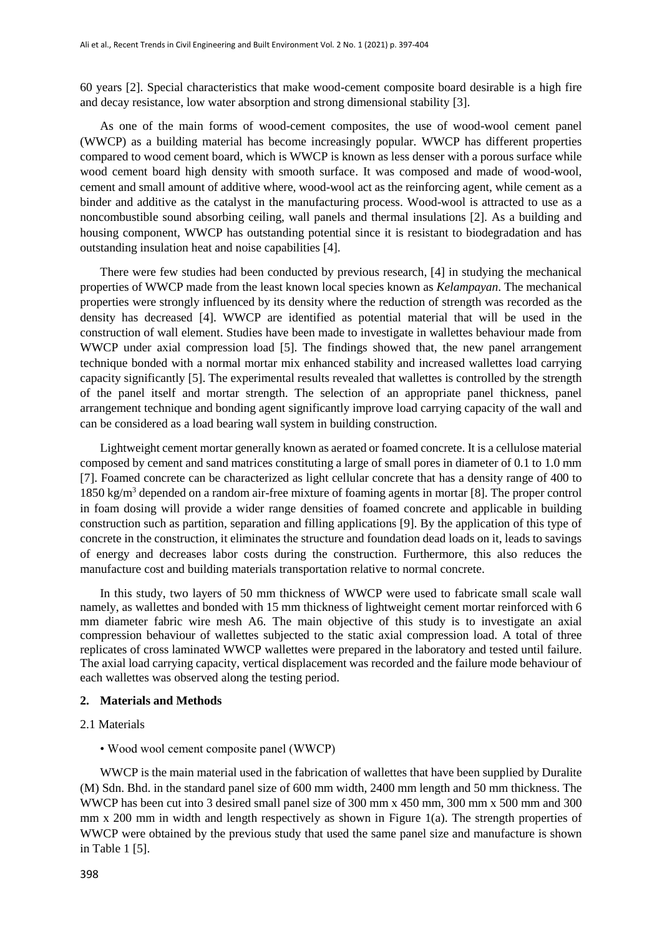60 years [2]. Special characteristics that make wood-cement composite board desirable is a high fire and decay resistance, low water absorption and strong dimensional stability [3].

As one of the main forms of wood-cement composites, the use of wood-wool cement panel (WWCP) as a building material has become increasingly popular. WWCP has different properties compared to wood cement board, which is WWCP is known as less denser with a porous surface while wood cement board high density with smooth surface. It was composed and made of wood-wool, cement and small amount of additive where, wood-wool act as the reinforcing agent, while cement as a binder and additive as the catalyst in the manufacturing process. Wood-wool is attracted to use as a noncombustible sound absorbing ceiling, wall panels and thermal insulations [2]. As a building and housing component, WWCP has outstanding potential since it is resistant to biodegradation and has outstanding insulation heat and noise capabilities [4].

There were few studies had been conducted by previous research, [4] in studying the mechanical properties of WWCP made from the least known local species known as *Kelampayan*. The mechanical properties were strongly influenced by its density where the reduction of strength was recorded as the density has decreased [4]. WWCP are identified as potential material that will be used in the construction of wall element. Studies have been made to investigate in wallettes behaviour made from WWCP under axial compression load [5]. The findings showed that, the new panel arrangement technique bonded with a normal mortar mix enhanced stability and increased wallettes load carrying capacity significantly [5]. The experimental results revealed that wallettes is controlled by the strength of the panel itself and mortar strength. The selection of an appropriate panel thickness, panel arrangement technique and bonding agent significantly improve load carrying capacity of the wall and can be considered as a load bearing wall system in building construction.

Lightweight cement mortar generally known as aerated or foamed concrete. It is a cellulose material composed by cement and sand matrices constituting a large of small pores in diameter of 0.1 to 1.0 mm [7]. Foamed concrete can be characterized as light cellular concrete that has a density range of 400 to 1850 kg/m<sup>3</sup> depended on a random air-free mixture of foaming agents in mortar [8]. The proper control in foam dosing will provide a wider range densities of foamed concrete and applicable in building construction such as partition, separation and filling applications [9]. By the application of this type of concrete in the construction, it eliminates the structure and foundation dead loads on it, leads to savings of energy and decreases labor costs during the construction. Furthermore, this also reduces the manufacture cost and building materials transportation relative to normal concrete.

In this study, two layers of 50 mm thickness of WWCP were used to fabricate small scale wall namely, as wallettes and bonded with 15 mm thickness of lightweight cement mortar reinforced with 6 mm diameter fabric wire mesh A6. The main objective of this study is to investigate an axial compression behaviour of wallettes subjected to the static axial compression load. A total of three replicates of cross laminated WWCP wallettes were prepared in the laboratory and tested until failure. The axial load carrying capacity, vertical displacement was recorded and the failure mode behaviour of each wallettes was observed along the testing period.

#### **2. Materials and Methods**

- 2.1 Materials
	- Wood wool cement composite panel (WWCP)

WWCP is the main material used in the fabrication of wallettes that have been supplied by Duralite (M) Sdn. Bhd. in the standard panel size of 600 mm width, 2400 mm length and 50 mm thickness. The WWCP has been cut into 3 desired small panel size of 300 mm x 450 mm, 300 mm x 500 mm and 300 mm x 200 mm in width and length respectively as shown in Figure 1(a). The strength properties of WWCP were obtained by the previous study that used the same panel size and manufacture is shown in Table 1 [5].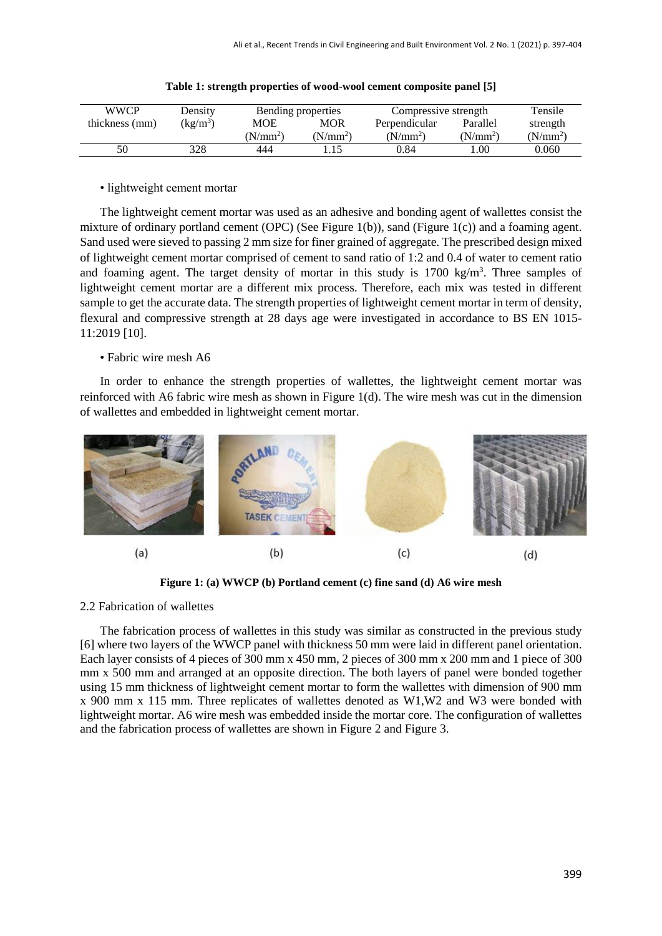| <b>WWCP</b>    | Density              | Bending properties |            | Compressive strength |            | Tensile    |
|----------------|----------------------|--------------------|------------|----------------------|------------|------------|
| thickness (mm) | (kg/m <sup>3</sup> ) | MOE                | MOR        | Perpendicular        | Parallel   | strength   |
|                |                      | $(N/mm^2)$         | $(N/mm^2)$ | $(N/mm^2)$           | $(N/mm^2)$ | $(N/mm^2)$ |
| 50             | 328                  | 444                |            | 0.84                 | .00        | 0.060      |

|  |  | Table 1: strength properties of wood-wool cement composite panel [5] |  |  |  |
|--|--|----------------------------------------------------------------------|--|--|--|
|--|--|----------------------------------------------------------------------|--|--|--|

# • lightweight cement mortar

The lightweight cement mortar was used as an adhesive and bonding agent of wallettes consist the mixture of ordinary portland cement (OPC) (See Figure 1(b)), sand (Figure 1(c)) and a foaming agent. Sand used were sieved to passing 2 mm size for finer grained of aggregate. The prescribed design mixed of lightweight cement mortar comprised of cement to sand ratio of 1:2 and 0.4 of water to cement ratio and foaming agent. The target density of mortar in this study is  $1700 \text{ kg/m}^3$ . Three samples of lightweight cement mortar are a different mix process. Therefore, each mix was tested in different sample to get the accurate data. The strength properties of lightweight cement mortar in term of density, flexural and compressive strength at 28 days age were investigated in accordance to BS EN 1015- 11:2019 [10].

# • Fabric wire mesh A6

In order to enhance the strength properties of wallettes, the lightweight cement mortar was reinforced with A6 fabric wire mesh as shown in Figure 1(d). The wire mesh was cut in the dimension of wallettes and embedded in lightweight cement mortar.



**Figure 1: (a) WWCP (b) Portland cement (c) fine sand (d) A6 wire mesh**

#### 2.2 Fabrication of wallettes

The fabrication process of wallettes in this study was similar as constructed in the previous study [6] where two layers of the WWCP panel with thickness 50 mm were laid in different panel orientation. Each layer consists of 4 pieces of 300 mm x 450 mm, 2 pieces of 300 mm x 200 mm and 1 piece of 300 mm x 500 mm and arranged at an opposite direction. The both layers of panel were bonded together using 15 mm thickness of lightweight cement mortar to form the wallettes with dimension of 900 mm x 900 mm x 115 mm. Three replicates of wallettes denoted as W1,W2 and W3 were bonded with lightweight mortar. A6 wire mesh was embedded inside the mortar core. The configuration of wallettes and the fabrication process of wallettes are shown in Figure 2 and Figure 3.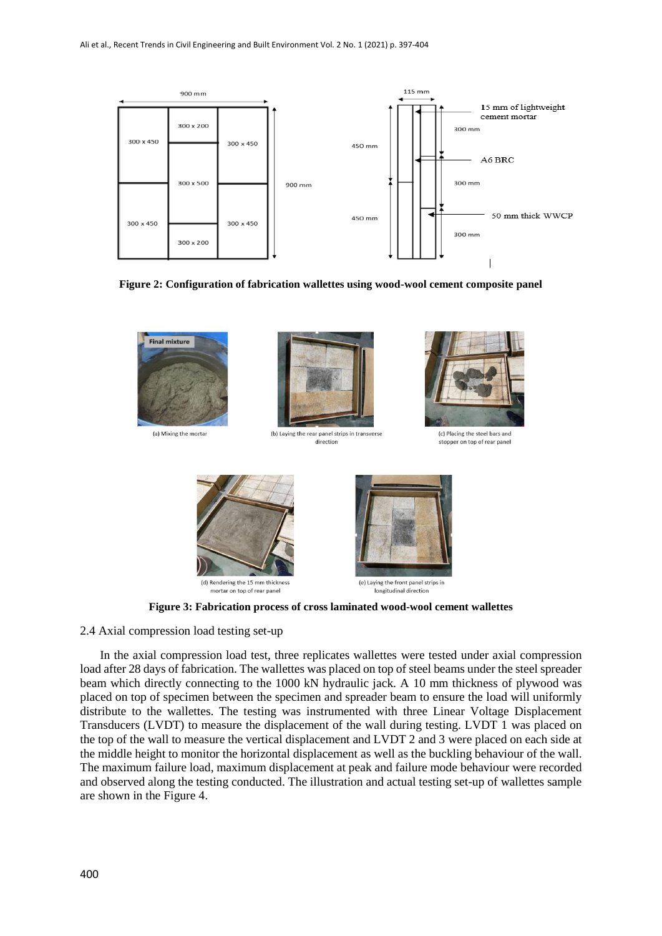

**Figure 2: Configuration of fabrication wallettes using wood-wool cement composite panel**



**Figure 3: Fabrication process of cross laminated wood-wool cement wallettes**

2.4 Axial compression load testing set-up

In the axial compression load test, three replicates wallettes were tested under axial compression load after 28 days of fabrication. The wallettes was placed on top of steel beams under the steel spreader beam which directly connecting to the 1000 kN hydraulic jack. A 10 mm thickness of plywood was placed on top of specimen between the specimen and spreader beam to ensure the load will uniformly distribute to the wallettes. The testing was instrumented with three Linear Voltage Displacement Transducers (LVDT) to measure the displacement of the wall during testing. LVDT 1 was placed on the top of the wall to measure the vertical displacement and LVDT 2 and 3 were placed on each side at the middle height to monitor the horizontal displacement as well as the buckling behaviour of the wall. The maximum failure load, maximum displacement at peak and failure mode behaviour were recorded and observed along the testing conducted. The illustration and actual testing set-up of wallettes sample are shown in the Figure 4.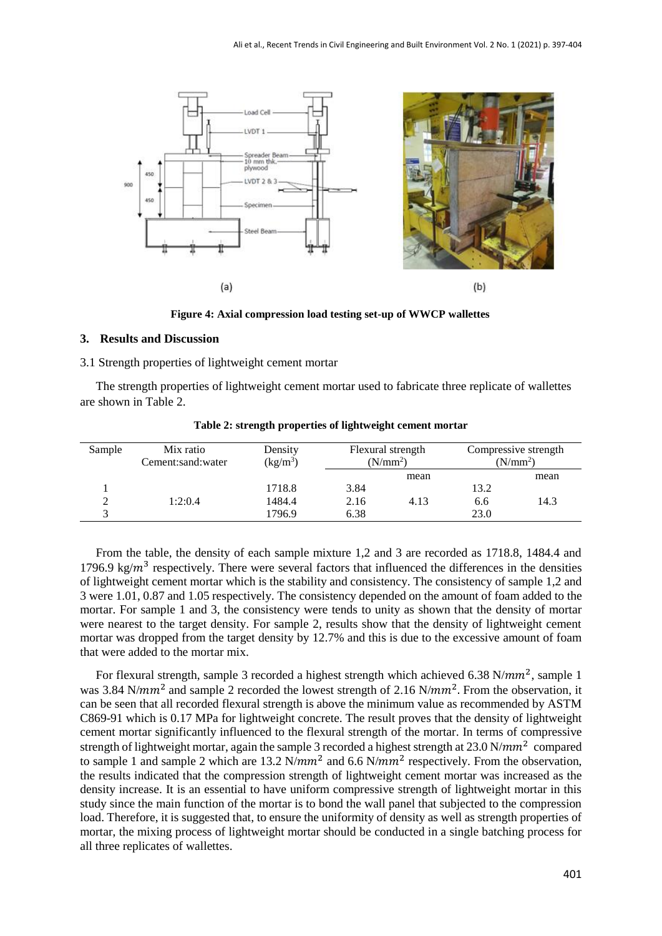

**Figure 4: Axial compression load testing set-up of WWCP wallettes** 

#### **3. Results and Discussion**

### 3.1 Strength properties of lightweight cement mortar

The strength properties of lightweight cement mortar used to fabricate three replicate of wallettes are shown in Table 2.

| Sample | Mix ratio<br>Cement:sand:water | Density<br>$\frac{\text{kg}}{\text{m}^3}$ | Flexural strength<br>(N/mm <sup>2</sup> ) |      | Compressive strength<br>(N/mm <sup>2</sup> ) |      |
|--------|--------------------------------|-------------------------------------------|-------------------------------------------|------|----------------------------------------------|------|
|        |                                |                                           |                                           | mean |                                              | mean |
|        |                                | 1718.8                                    | 3.84                                      |      | 13.2                                         |      |
|        | 1:2:0.4                        | 1484.4                                    | 2.16                                      | 4.13 | 6.6                                          | 14.3 |
|        |                                | 1796.9                                    | 6.38                                      |      | 23.0                                         |      |

**Table 2: strength properties of lightweight cement mortar**

From the table, the density of each sample mixture 1,2 and 3 are recorded as 1718.8, 1484.4 and 1796.9 kg/ $m^3$  respectively. There were several factors that influenced the differences in the densities of lightweight cement mortar which is the stability and consistency. The consistency of sample 1,2 and 3 were 1.01, 0.87 and 1.05 respectively. The consistency depended on the amount of foam added to the mortar. For sample 1 and 3, the consistency were tends to unity as shown that the density of mortar were nearest to the target density. For sample 2, results show that the density of lightweight cement mortar was dropped from the target density by 12.7% and this is due to the excessive amount of foam that were added to the mortar mix.

For flexural strength, sample 3 recorded a highest strength which achieved 6.38 N/ $mm^2$ , sample 1 was 3.84 N/mm<sup>2</sup> and sample 2 recorded the lowest strength of 2.16 N/mm<sup>2</sup>. From the observation, it can be seen that all recorded flexural strength is above the minimum value as recommended by ASTM C869-91 which is 0.17 MPa for lightweight concrete. The result proves that the density of lightweight cement mortar significantly influenced to the flexural strength of the mortar. In terms of compressive strength of lightweight mortar, again the sample 3 recorded a highest strength at  $23.0 \text{ N/mm}^2$  compared to sample 1 and sample 2 which are 13.2 N/ $mm^2$  and 6.6 N/ $mm^2$  respectively. From the observation, the results indicated that the compression strength of lightweight cement mortar was increased as the density increase. It is an essential to have uniform compressive strength of lightweight mortar in this study since the main function of the mortar is to bond the wall panel that subjected to the compression load. Therefore, it is suggested that, to ensure the uniformity of density as well as strength properties of mortar, the mixing process of lightweight mortar should be conducted in a single batching process for all three replicates of wallettes.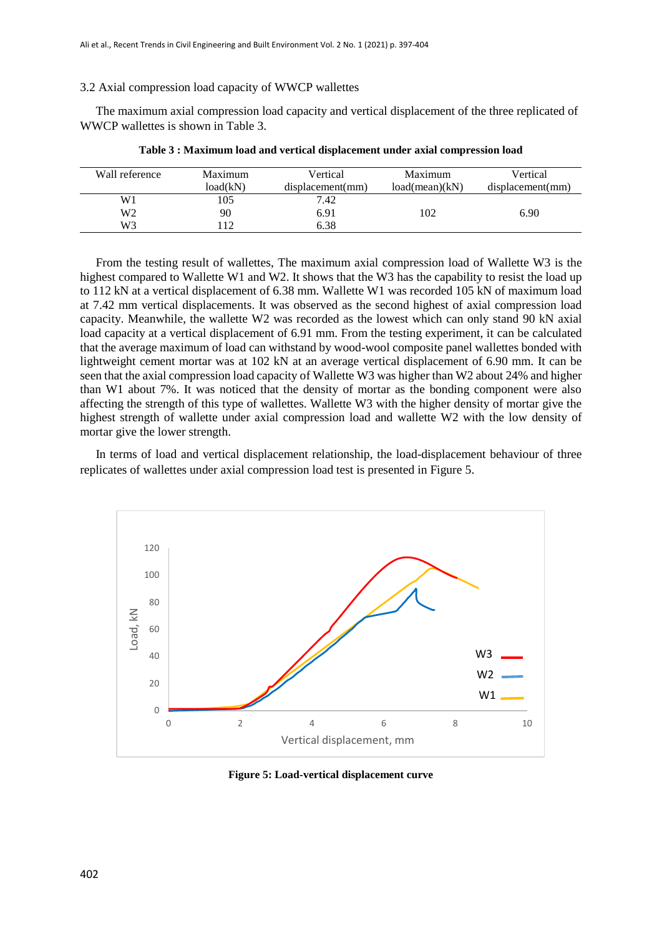#### 3.2 Axial compression load capacity of WWCP wallettes

The maximum axial compression load capacity and vertical displacement of the three replicated of WWCP wallettes is shown in Table 3.

| Wall reference | Maximum  | Vertical         | Maximum        | Vertical         |
|----------------|----------|------------------|----------------|------------------|
|                | load(kN) | displacement(mm) | load(mean)(kN) | displacement(mm) |
| W <sub>1</sub> | 105      | 7.42             |                |                  |
| W2             | 90       | 6.91             | 102            | 6.90             |
| W3             | 12       | 6.38             |                |                  |

**Table 3 : Maximum load and vertical displacement under axial compression load**

From the testing result of wallettes, The maximum axial compression load of Wallette W3 is the highest compared to Wallette W1 and W2. It shows that the W3 has the capability to resist the load up to 112 kN at a vertical displacement of 6.38 mm. Wallette W1 was recorded 105 kN of maximum load at 7.42 mm vertical displacements. It was observed as the second highest of axial compression load capacity. Meanwhile, the wallette W2 was recorded as the lowest which can only stand 90 kN axial load capacity at a vertical displacement of 6.91 mm. From the testing experiment, it can be calculated that the average maximum of load can withstand by wood-wool composite panel wallettes bonded with lightweight cement mortar was at 102 kN at an average vertical displacement of 6.90 mm. It can be seen that the axial compression load capacity of Wallette W3 was higher than W2 about 24% and higher than W1 about 7%. It was noticed that the density of mortar as the bonding component were also affecting the strength of this type of wallettes. Wallette W3 with the higher density of mortar give the highest strength of wallette under axial compression load and wallette W2 with the low density of mortar give the lower strength.

In terms of load and vertical displacement relationship, the load-displacement behaviour of three replicates of wallettes under axial compression load test is presented in Figure 5.



**Figure 5: Load-vertical displacement curve**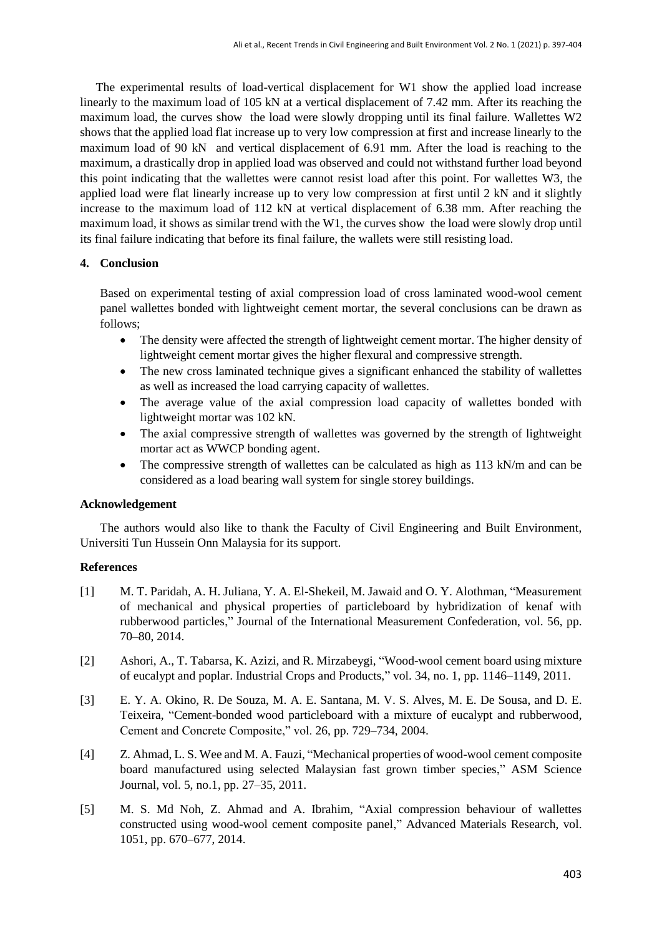The experimental results of load-vertical displacement for W1 show the applied load increase linearly to the maximum load of 105 kN at a vertical displacement of 7.42 mm. After its reaching the maximum load, the curves show the load were slowly dropping until its final failure. Wallettes W2 shows that the applied load flat increase up to very low compression at first and increase linearly to the maximum load of 90 kN and vertical displacement of 6.91 mm. After the load is reaching to the maximum, a drastically drop in applied load was observed and could not withstand further load beyond this point indicating that the wallettes were cannot resist load after this point. For wallettes W3, the applied load were flat linearly increase up to very low compression at first until 2 kN and it slightly increase to the maximum load of 112 kN at vertical displacement of 6.38 mm. After reaching the maximum load, it shows as similar trend with the W1, the curves show the load were slowly drop until its final failure indicating that before its final failure, the wallets were still resisting load.

# **4. Conclusion**

Based on experimental testing of axial compression load of cross laminated wood-wool cement panel wallettes bonded with lightweight cement mortar, the several conclusions can be drawn as follows;

- The density were affected the strength of lightweight cement mortar. The higher density of lightweight cement mortar gives the higher flexural and compressive strength.
- The new cross laminated technique gives a significant enhanced the stability of wallettes as well as increased the load carrying capacity of wallettes.
- The average value of the axial compression load capacity of wallettes bonded with lightweight mortar was 102 kN.
- The axial compressive strength of wallettes was governed by the strength of lightweight mortar act as WWCP bonding agent.
- The compressive strength of wallettes can be calculated as high as 113 kN/m and can be considered as a load bearing wall system for single storey buildings.

# **Acknowledgement**

The authors would also like to thank the Faculty of Civil Engineering and Built Environment, Universiti Tun Hussein Onn Malaysia for its support.

# **References**

- [1] M. T. Paridah, A. H. Juliana, Y. A. El-Shekeil, M. Jawaid and O. Y. Alothman, "Measurement of mechanical and physical properties of particleboard by hybridization of kenaf with rubberwood particles," Journal of the International Measurement Confederation, vol. 56, pp. 70–80, 2014.
- [2] Ashori, A., T. Tabarsa, K. Azizi, and R. Mirzabeygi, "Wood-wool cement board using mixture of eucalypt and poplar. Industrial Crops and Products," vol. 34, no. 1, pp. 1146–1149, 2011.
- [3] E. Y. A. Okino, R. De Souza, M. A. E. Santana, M. V. S. Alves, M. E. De Sousa, and D. E. Teixeira, "Cement-bonded wood particleboard with a mixture of eucalypt and rubberwood, Cement and Concrete Composite," vol. 26, pp. 729–734, 2004.
- [4] Z. Ahmad, L. S. Wee and M. A. Fauzi, "Mechanical properties of wood-wool cement composite board manufactured using selected Malaysian fast grown timber species," ASM Science Journal, vol. 5, no.1, pp. 27–35, 2011.
- [5] M. S. Md Noh, Z. Ahmad and A. Ibrahim, "Axial compression behaviour of wallettes constructed using wood-wool cement composite panel," Advanced Materials Research, vol. 1051, pp. 670–677, 2014.